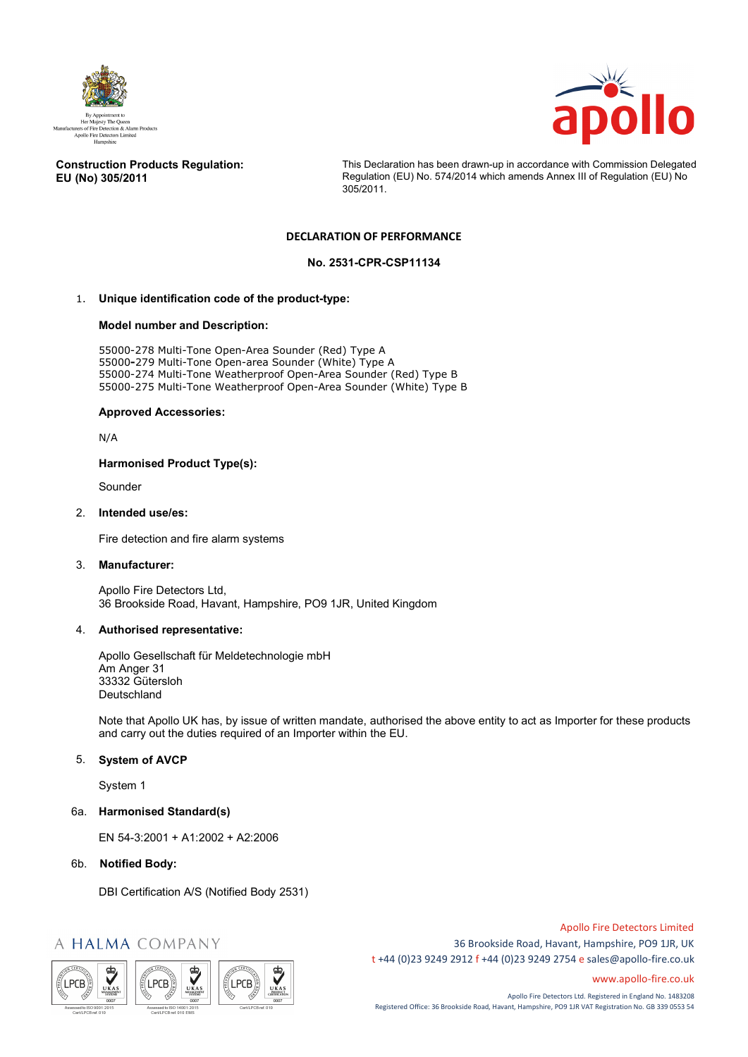



#### **Construction Products Regulation: EU (No) 305/2011**

This Declaration has been drawn-up in accordance with Commission Delegated Regulation (EU) No. 574/2014 which amends Annex III of Regulation (EU) No 305/2011.

# **DECLARATION OF PERFORMANCE**

### **No. 2531-CPR-CSP11134**

# 1. **Unique identification code of the product-type:**

#### **Model number and Description:**

55000-278 Multi-Tone Open-Area Sounder (Red) Type A 55000**-**279 Multi-Tone Open-area Sounder (White) Type A 55000-274 Multi-Tone Weatherproof Open-Area Sounder (Red) Type B 55000-275 Multi-Tone Weatherproof Open-Area Sounder (White) Type B

#### **Approved Accessories:**

N/A

## **Harmonised Product Type(s):**

Sounder

#### 2. **Intended use/es:**

Fire detection and fire alarm systems

#### 3. **Manufacturer:**

Apollo Fire Detectors Ltd, 36 Brookside Road, Havant, Hampshire, PO9 1JR, United Kingdom

#### 4. **Authorised representative:**

Apollo Gesellschaft für Meldetechnologie mbH Am Anger 31 33332 Gütersloh Deutschland

Note that Apollo UK has, by issue of written mandate, authorised the above entity to act as Importer for these products and carry out the duties required of an Importer within the EU.

## 5. **System of AVCP**

System 1

#### 6a. **Harmonised Standard(s)**

EN 54-3:2001 + A1:2002 + A2:2006

## 6b. **Notified Body:**

DBI Certification A/S (Notified Body 2531)

# A HALMA COMPANY



Apollo Fire Detectors Limited 36 Brookside Road, Havant, Hampshire, PO9 1JR, UK t +44 (0)23 9249 2912 f +44 (0)23 9249 2754 [e sales@apollo-fire.co.uk](mailto:sales@apollo-fire.co.uk)

[www.apollo-fire.co.uk](http://www.apollo-fire.co.uk/)

Apollo Fire Detectors Ltd. Registered in England No. 1483208 Registered Office: 36 Brookside Road, Havant, Hampshire, PO9 1JR VAT Registration No. GB 339 0553 54